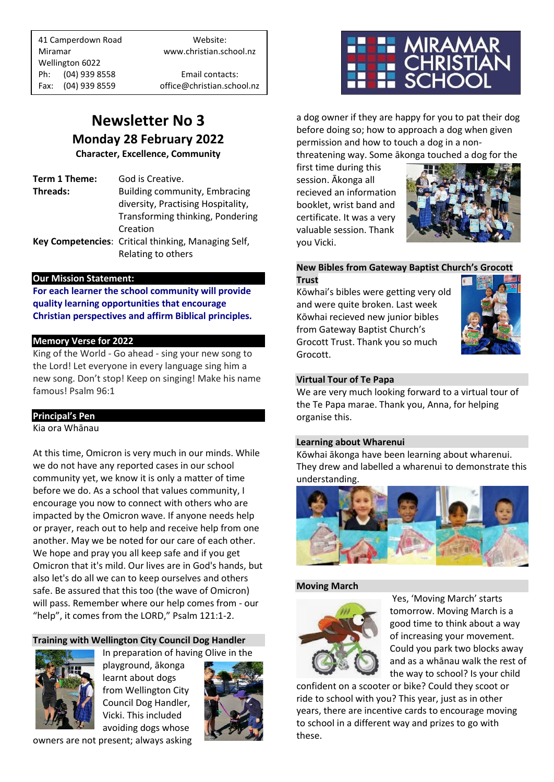41 Camperdown Road Website: Miramar www.christian.school.nz Wellington 6022 Ph: (04) 939 8558 Email contacts:

Fax: (04) 939 8559 office@christian.school.nz

## **Newsletter No 3 Monday 28 February 2022**

**Character, Excellence, Community**

**Term 1 Theme:** God is Creative. **Threads:** Building community, Embracing diversity, Practising Hospitality, Transforming thinking, Pondering Creation **Key Competencies**: Critical thinking, Managing Self, Relating to others

#### **Our Mission Statement:**

**For each learner the school community will provide quality learning opportunities that encourage Christian perspectives and affirm Biblical principles***.*

#### **Memory Verse for 2022**

King of the World - Go ahead - sing your new song to the Lord! Let everyone in every language sing him a new song. Don't stop! Keep on singing! Make his name famous! Psalm 96:1

#### **Principal's Pen**

Kia ora Whānau

At this time, Omicron is very much in our minds. While we do not have any reported cases in our school community yet, we know it is only a matter of time before we do. As a school that values community, I encourage you now to connect with others who are impacted by the Omicron wave. If anyone needs help or prayer, reach out to help and receive help from one another. May we be noted for our care of each other. We hope and pray you all keep safe and if you get Omicron that it's mild. Our lives are in God's hands, but also let's do all we can to keep ourselves and others safe. Be assured that this too (the wave of Omicron) will pass. Remember where our help comes from - our "help", it comes from the LORD," Psalm 121:1-2.

#### **Training with Wellington City Council Dog Handler**



playground, ākonga learnt about dogs from Wellington City Council Dog Handler, Vicki. This included avoiding dogs whose

In preparation of having Olive in the







a dog owner if they are happy for you to pat their dog before doing so; how to approach a dog when given permission and how to touch a dog in a non-

threatening way. Some ākonga touched a dog for the

first time during this session. Ākonga all recieved an information booklet, wrist band and certificate. It was a very valuable session. Thank you Vicki.



#### **New Bibles from Gateway Baptist Church's Grocott Trust**

Kōwhai's bibles were getting very old and were quite broken. Last week Kōwhai recieved new junior bibles from Gateway Baptist Church's Grocott Trust. Thank you so much Grocott.



#### **Virtual Tour of Te Papa**

We are very much looking forward to a virtual tour of the Te Papa marae. Thank you, Anna, for helping organise this.

#### **Learning about Wharenui**

Kōwhai ākonga have been learning about wharenui. They drew and labelled a wharenui to demonstrate this understanding.



#### **Moving March**



Yes, 'Moving March' starts tomorrow. Moving March is a good time to think about a way of increasing your movement. Could you park two blocks away and as a whānau walk the rest of the way to school? Is your child

confident on a scooter or bike? Could they scoot or ride to school with you? This year, just as in other years, there are incentive cards to encourage moving to school in a different way and prizes to go with these.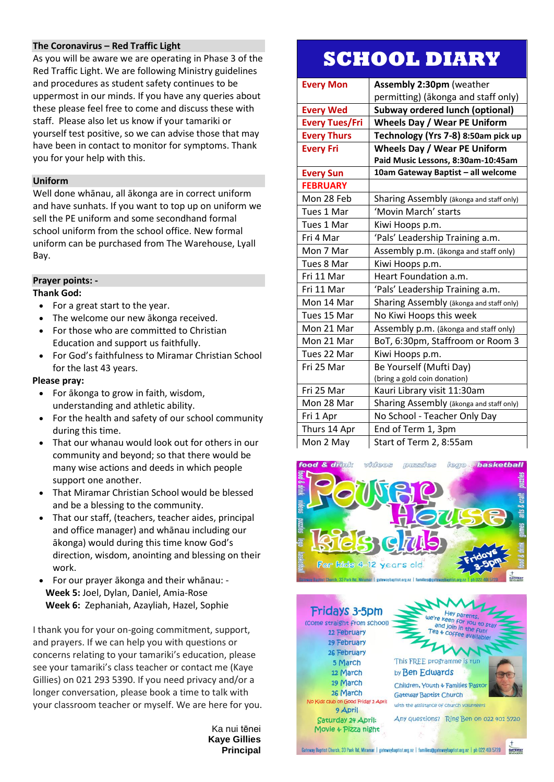#### **The Coronavirus – Red Traffic Light**

As you will be aware we are operating in Phase 3 of the Red Traffic Light. We are following Ministry guidelines and procedures as student safety continues to be uppermost in our minds. If you have any queries about these please feel free to come and discuss these with staff. Please also let us know if your tamariki or yourself test positive, so we can advise those that may have been in contact to monitor for symptoms. Thank you for your help with this.

#### **Uniform**

Well done whānau, all ākonga are in correct uniform and have sunhats. If you want to top up on uniform we sell the PE uniform and some secondhand formal school uniform from the school office. New formal uniform can be purchased from The Warehouse, Lyall Bay.

#### **Prayer points: -**

#### **Thank God:**

- For a great start to the year.
- The welcome our new ākonga received.
- For those who are committed to Christian Education and support us faithfully.
- For God's faithfulness to Miramar Christian School for the last 43 years.

#### **Please pray:**

- For ākonga to grow in faith, wisdom, understanding and athletic ability.
- For the health and safety of our school community during this time.
- That our whanau would look out for others in our community and beyond; so that there would be many wise actions and deeds in which people support one another.
- That Miramar Christian School would be blessed and be a blessing to the community.
- That our staff, (teachers, teacher aides, principal and office manager) and whānau including our ākonga) would during this time know God's direction, wisdom, anointing and blessing on their work.
- For our prayer ākonga and their whānau: **Week 5:** Joel, Dylan, Daniel, Amia-Rose **Week 6:** Zephaniah, Azayliah, Hazel, Sophie

I thank you for your on-going commitment, support, and prayers. If we can help you with questions or concerns relating to your tamariki's education, please see your tamariki's class teacher or contact me (Kaye Gillies) on 021 293 5390. If you need privacy and/or a longer conversation, please book a time to talk with your classroom teacher or myself. We are here for you.

> Ka nui tēnei **Kaye Gillies Principal**

# **SCHOOL DIARY**

| <b>Every Mon</b>      | <b>Assembly 2:30pm (weather</b>          |
|-----------------------|------------------------------------------|
|                       | permitting) (ākonga and staff only)      |
| <b>Every Wed</b>      | <b>Subway ordered lunch (optional)</b>   |
| <b>Every Tues/Fri</b> | <b>Wheels Day / Wear PE Uniform</b>      |
| <b>Every Thurs</b>    | Technology (Yrs 7-8) 8:50am pick up      |
| <b>Every Fri</b>      | <b>Wheels Day / Wear PE Uniform</b>      |
|                       | Paid Music Lessons, 8:30am-10:45am       |
| <b>Every Sun</b>      | 10am Gateway Baptist - all welcome       |
| <b>FEBRUARY</b>       |                                          |
| Mon 28 Feb            | Sharing Assembly (akonga and staff only) |
| Tues 1 Mar            | 'Movin March' starts                     |
| Tues 1 Mar            | Kiwi Hoops p.m.                          |
| Fri 4 Mar             | 'Pals' Leadership Training a.m.          |
| Mon 7 Mar             | Assembly p.m. (akonga and staff only)    |
| Tues 8 Mar            | Kiwi Hoops p.m.                          |
| Fri 11 Mar            | Heart Foundation a.m.                    |
| Fri 11 Mar            | 'Pals' Leadership Training a.m.          |
| Mon 14 Mar            | Sharing Assembly (akonga and staff only) |
| Tues 15 Mar           | No Kiwi Hoops this week                  |
| Mon 21 Mar            | Assembly p.m. (ākonga and staff only)    |
| Mon 21 Mar            | BoT, 6:30pm, Staffroom or Room 3         |
| Tues 22 Mar           | Kiwi Hoops p.m.                          |
| Fri 25 Mar            | Be Yourself (Mufti Day)                  |
|                       | (bring a gold coin donation)             |
| Fri 25 Mar            | Kauri Library visit 11:30am              |
| Mon 28 Mar            | Sharing Assembly (ākonga and staff only) |
| Fri 1 Apr             | No School - Teacher Only Day             |
| Thurs 14 Apr          | End of Term 1, 3pm                       |
| Mon 2 May             | Start of Term 2, 8:55am                  |



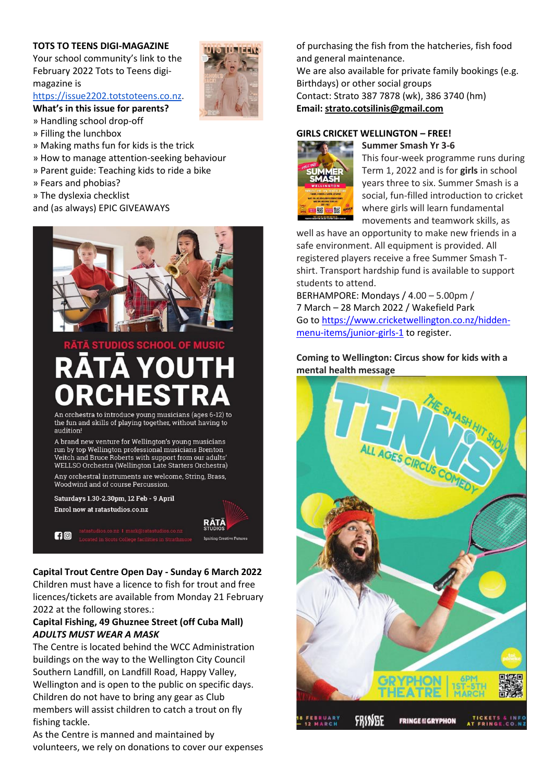#### **TOTS TO TEENS DIGI-MAGAZINE**

Your school community's link to the February 2022 Tots to Teens digimagazine i[s](https://www.mallplanet.com/emailTrack/?type=click&tc=tgjbfh1khqekQeZLThkN&link=https%3A%2F%2Fissue2109si.totstoteens.co.nz%2F&sid=200651)

[https://issue2202.totstoteens.co.nz.](https://www.mallplanet.com/emailTrack/?type=click&tc=tgjbfh1khqekQeZLThkN&link=https%3A%2F%2Fissue2202.totstoteens.co.nz&sid=200651)

**What's in this issue for parents?**

- » Handling school drop-off
- » Filling the lunchbox
- » Making maths fun for kids is the trick
- » How to manage attention-seeking behaviour
- » Parent guide: Teaching kids to ride a bike
- » Fears and phobias?
- » The dyslexia checklist
- and (as always) EPIC GIVEAWAYS



An orchestra to introduce young musicians (ages 6-12) to the fun and skills of playing together, without having to audition

A brand new venture for Wellington's young musicians run by top Wellington professional musicians Brenton Veitch and Bruce Roberts with support from our adults' WELLSO Orchestra (Wellington Late Starters Orchestra) Any orchestral instruments are welcome, String, Brass, Woodwind and of course Percussion

Saturdays 1.30-2.30pm, 12 Feb - 9 April Enrol now at ratastudios.co.nz

 $f \circ \mathcal{O}$ 

#### **Capital Trout Centre Open Day - Sunday 6 March 2022**

RATA

**Creative Futures** 

Children must have a licence to fish for trout and free licences/tickets are available from Monday 21 February 2022 at the following stores.:

#### **Capital Fishing, 49 Ghuznee Street (off Cuba Mall)** *ADULTS MUST WEAR A MASK*

The Centre is located behind the WCC Administration buildings on the way to the Wellington City Council Southern Landfill, on Landfill Road, Happy Valley, Wellington and is open to the public on specific days. Children do not have to bring any gear as Club members will assist children to catch a trout on fly fishing tackle.

As the Centre is manned and maintained by volunteers, we rely on donations to cover our expenses

of purchasing the fish from the hatcheries, fish food and general maintenance. We are also available for private family bookings (e.g. Birthdays) or other social groups Contact: Strato 387 7878 (wk), 386 3740 (hm) **Email: [strato.cotsilinis@gmail.com](mailto:strato.cotsilinis@gmail.com)**

#### **GIRLS CRICKET WELLINGTON – FREE!**



**Summer Smash Yr 3-6** This four-week programme runs during Term 1, 2022 and is for **girls** in school years three to six. Summer Smash is a social, fun-filled introduction to cricket where girls will learn fundamental movements and teamwork skills, as

well as have an opportunity to make new friends in a safe environment. All equipment is provided. All registered players receive a free Summer Smash Tshirt. Transport hardship fund is available to support students to attend.

BERHAMPORE: Mondays / 4.00 – 5.00pm / 7 March – 28 March 2022 / Wakefield Park Go to [https://www.cricketwellington.co.nz/hidden](https://www.cricketwellington.co.nz/hidden-menu-items/junior-girls-1)[menu-items/junior-girls-1](https://www.cricketwellington.co.nz/hidden-menu-items/junior-girls-1) to register.

#### **Coming to Wellington: Circus show for kids with a mental health message**